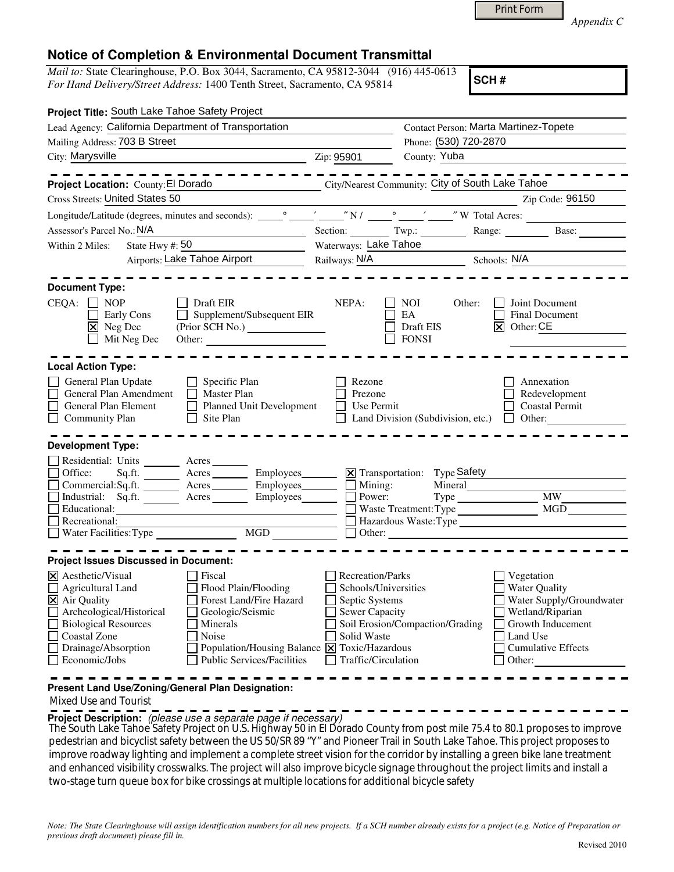|  | Print Form |
|--|------------|
|  |            |

*Appendix C* 

## **Notice of Completion & Environmental Document Transmittal**

*Mail to:* State Clearinghouse, P.O. Box 3044, Sacramento, CA 95812-3044 (916) 445-0613 *For Hand Delivery/Street Address:* 1400 Tenth Street, Sacramento, CA 95814

**SCH #**

| Project Title: South Lake Tahoe Safety Project                             |                                                                                                                       |                            |                                 |                                                 |                           |  |
|----------------------------------------------------------------------------|-----------------------------------------------------------------------------------------------------------------------|----------------------------|---------------------------------|-------------------------------------------------|---------------------------|--|
| Lead Agency: California Department of Transportation                       |                                                                                                                       |                            |                                 | <b>Contact Person: Marta Martinez-Topete</b>    |                           |  |
| Mailing Address: 703 B Street<br>the control of the control of the control |                                                                                                                       |                            |                                 | Phone: (530) 720-2870                           |                           |  |
| City: Marysville<br><u> 1989 - Johann Stoff, Amerikaansk politiker (</u>   |                                                                                                                       | Zip: 95901                 | County: Yuba                    |                                                 |                           |  |
|                                                                            | .                                                                                                                     |                            |                                 |                                                 |                           |  |
| Project Location: County: El Dorado                                        | City/Nearest Community: City of South Lake Tahoe                                                                      |                            |                                 |                                                 |                           |  |
| <b>Cross Streets: United States 50</b>                                     |                                                                                                                       |                            |                                 | <u> 1990 - Johann Barbara, martin a</u>         | Zip Code: 96150           |  |
|                                                                            |                                                                                                                       |                            |                                 |                                                 |                           |  |
| Assessor's Parcel No.: N/A<br><u> 1989 - Johann Barbara, martxa al</u>     |                                                                                                                       |                            |                                 | Section: Twp.: Range: Range: Base:              |                           |  |
| State Hwy #: $50$<br>Within 2 Miles:                                       |                                                                                                                       | Waterways: Lake Tahoe      |                                 |                                                 |                           |  |
| Airports: Lake Tahoe Airport                                               |                                                                                                                       | Railways: N/A Schools: N/A |                                 |                                                 |                           |  |
|                                                                            |                                                                                                                       |                            |                                 |                                                 |                           |  |
| <b>Document Type:</b>                                                      |                                                                                                                       |                            |                                 |                                                 |                           |  |
| $CEQA: \Box NOP$                                                           | <b>Draft EIR</b>                                                                                                      | NEPA:                      | NOI                             | Other:                                          | Joint Document            |  |
| Early Cons<br>$\boxtimes$ Neg Dec                                          | Supplement/Subsequent EIR                                                                                             |                            | EA<br>Draft EIS                 | $\overline{X}$ Other: CE                        | Final Document            |  |
| Mit Neg Dec                                                                | Other:                                                                                                                |                            | $\Box$ FONSI                    |                                                 |                           |  |
|                                                                            |                                                                                                                       |                            |                                 |                                                 |                           |  |
| <b>Local Action Type:</b>                                                  |                                                                                                                       |                            |                                 |                                                 |                           |  |
| General Plan Update                                                        | $\Box$ Specific Plan                                                                                                  | Rezone                     |                                 |                                                 | Annexation                |  |
| General Plan Amendment                                                     | $\Box$ Master Plan                                                                                                    | Prezone                    |                                 |                                                 | Redevelopment             |  |
| General Plan Element                                                       | Planned Unit Development                                                                                              | Use Permit                 |                                 |                                                 | <b>Coastal Permit</b>     |  |
| $\Box$ Community Plan                                                      | Site Plan<br>$\perp$                                                                                                  |                            |                                 | Land Division (Subdivision, etc.) $\Box$ Other: |                           |  |
|                                                                            |                                                                                                                       |                            |                                 |                                                 |                           |  |
| <b>Development Type:</b>                                                   |                                                                                                                       |                            |                                 |                                                 |                           |  |
| Residential: Units _______ Acres _______                                   |                                                                                                                       |                            |                                 |                                                 |                           |  |
| $\Box$ Office:                                                             | Sq.ft. __________ Acres ___________ Employees________                                                                 |                            | X Transportation: Type Safety   |                                                 |                           |  |
|                                                                            | Commercial:Sq.ft. Acres Employees Mining:                                                                             |                            |                                 |                                                 |                           |  |
| □ Industrial: Sq.ft. _______ Acres _______ Employees_______ □              |                                                                                                                       |                            | Power:                          | Type MW MW                                      |                           |  |
| Educational:                                                               |                                                                                                                       |                            |                                 |                                                 |                           |  |
| $\Box$ Recreational:                                                       | <u> 1989 - Johann Barn, mars ann an t-Amhair an t-Amhair an t-Amhair an t-Amhair an t-Amhair an t-Amhair an t-Amh</u> |                            |                                 |                                                 |                           |  |
|                                                                            |                                                                                                                       |                            |                                 | $\Box$ Other: $\Box$                            |                           |  |
| <b>Project Issues Discussed in Document:</b>                               |                                                                                                                       |                            |                                 |                                                 |                           |  |
| X Aesthetic/Visual                                                         | Fiscal                                                                                                                | <b>Recreation/Parks</b>    |                                 | Vegetation                                      |                           |  |
| $\Box$ Agricultural Land                                                   | Flood Plain/Flooding                                                                                                  | Schools/Universities       |                                 |                                                 | Water Quality             |  |
| $\overline{\mathbf{X}}$ Air Quality                                        | Forest Land/Fire Hazard                                                                                               | $\Box$ Septic Systems      |                                 |                                                 | Water Supply/Groundwater  |  |
| Archeological/Historical                                                   | Geologic/Seismic                                                                                                      | <b>Sewer Capacity</b>      |                                 |                                                 | Wetland/Riparian          |  |
| <b>Biological Resources</b>                                                | Minerals                                                                                                              |                            | Soil Erosion/Compaction/Grading |                                                 | Growth Inducement         |  |
| <b>Coastal Zone</b>                                                        | Noise                                                                                                                 | Solid Waste                |                                 | Land Use                                        |                           |  |
| Drainage/Absorption                                                        | Population/Housing Balance $\boxed{\mathsf{X}}$ Toxic/Hazardous                                                       |                            |                                 |                                                 | <b>Cumulative Effects</b> |  |
| Economic/Jobs                                                              | <b>Public Services/Facilities</b>                                                                                     | Traffic/Circulation        |                                 | Other:                                          |                           |  |
|                                                                            |                                                                                                                       |                            |                                 |                                                 |                           |  |
| Present Land Use/Zoning/General Plan Designation:                          |                                                                                                                       |                            |                                 |                                                 |                           |  |

Mixed Use and Tourist

**Project Description:** (please use a separate page if necessary)

The South Lake Tahoe Safety Project on U.S. Highway 50 in El Dorado County from post mile 75.4 to 80.1 proposes to improve pedestrian and bicyclist safety between the US 50/SR 89 "Y" and Pioneer Trail in South Lake Tahoe. This project proposes to improve roadway lighting and implement a complete street vision for the corridor by installing a green bike lane treatment and enhanced visibility crosswalks. The project will also improve bicycle signage throughout the project limits and install a two-stage turn queue box for bike crossings at multiple locations for additional bicycle safety

*Note: The State Clearinghouse will assign identification numbers for all new projects. If a SCH number already exists for a project (e.g. Notice of Preparation or previous draft document) please fill in.*